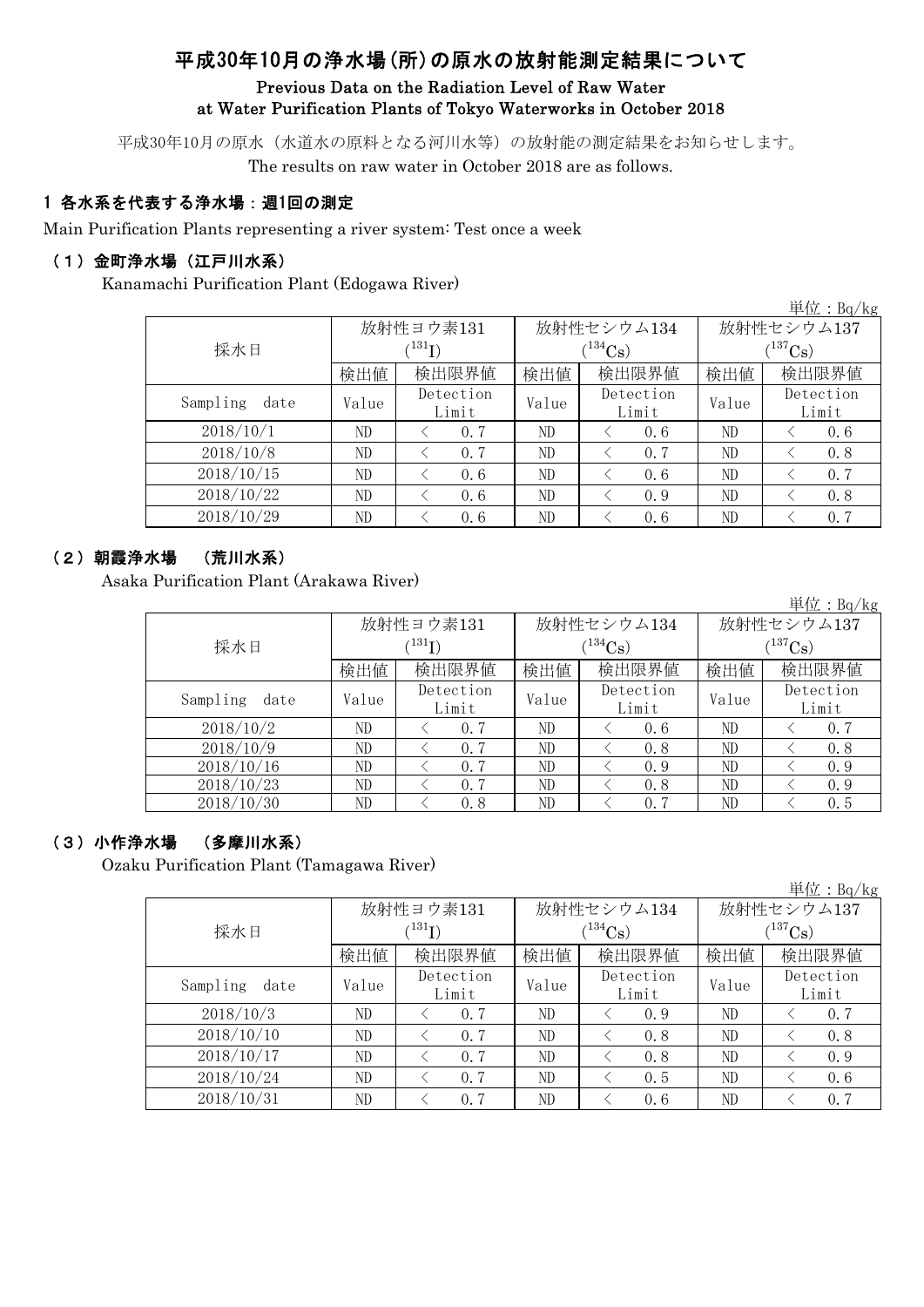# 平成30年10月の浄水場(所)の原水の放射能測定結果について

### Previous Data on the Radiation Level of Raw Water at Water Purification Plants of Tokyo Waterworks in October 2018

平成30年10月の原水(水道水の原料となる河川水等)の放射能の測定結果をお知らせします。 The results on raw water in October 2018 are as follows.

### 1 各水系を代表する浄水場:週1回の測定

Main Purification Plants representing a river system: Test once a week

#### (1)金町浄水場(江戸川水系)

Kanamachi Purification Plant (Edogawa River)

| 里位: $Bq/Kg$      |                    |                           |       |             |                       |           |  |  |  |
|------------------|--------------------|---------------------------|-------|-------------|-----------------------|-----------|--|--|--|
|                  |                    | 放射性ヨウ素131                 |       | 放射性セシウム134  | 放射性セシウム137            |           |  |  |  |
| 採水日              |                    | $^{\prime131}\mathrm{I})$ |       | $1^{134}Cs$ | $(^{137}\mathrm{Cs})$ |           |  |  |  |
|                  | 検出値                | 検出限界値                     | 検出値   | 検出限界値       | 検出値                   | 検出限界値     |  |  |  |
| Sampling<br>date | Detection<br>Value |                           | Value | Detection   | Value                 | Detection |  |  |  |
|                  |                    | Limit                     |       | Limit       |                       | Limit     |  |  |  |
| 2018/10/1        | ND                 | 0, 7                      | ND    | 0, 6        | ND                    | 0.6       |  |  |  |
| 2018/10/8        | ND                 | 0.7                       | ND    | 0.7         | ND                    | 0.8       |  |  |  |
| 2018/10/15       | ND                 | 0.6                       | ND    | 0.6         | ND                    | 0.7       |  |  |  |
| 2018/10/22       | ND                 | 0.6                       | ND    | 0.9         | ND                    | 0.8       |  |  |  |
| 2018/10/29       | ND                 | 0.6                       | ND    | 0.6         | ND                    | 0.7       |  |  |  |

#### (2)朝霞浄水場 (荒川水系)

Asaka Purification Plant (Arakawa River)

単位:Bq/kg 検出値 | 検出限根値 | 検出値 | 検出限界値 | 検出限界値  $V$ alue  $V$ <sup>Detection</sup> Value  $V$ <sup>Detection</sup> Value ND  $\vert$   $\langle$  0.7  $\vert$  ND  $\vert$   $\langle$  0.6  $\vert$  ND  $\vert$   $\langle$  0.7 ND < 0.7 | ND | < 0.8 | ND | < 0.8 ND  $\vert$   $\langle$  0.7  $\vert$  ND  $\vert$   $\langle$  0.9  $\vert$  ND  $\vert$   $\langle$  0.9 ND  $\vert$   $\langle$  0.7  $\vert$  ND  $\vert$   $\langle$  0.8  $\vert$  ND  $\vert$   $\langle$  0.9 ND  $\vert$   $\langle$  0.8  $\vert$  ND  $\vert$   $\langle$  0.7  $\vert$  ND  $\vert$   $\langle$  0.5 採水日 放射性ヨウ素131  $(^{131}\text{I})$ 放射性セシウム134  $(^{134}Cs)$ 放射性セシウム137  $(^{137}\mathrm{Cs})$ 2018/10/16 Sampling date Detection Limit Detection Limit Detection Limit 2018/10/2 2018/10/9 2018/10/23 2018/10/30

### (3)小作浄水場 (多摩川水系)

Ozaku Purification Plant (Tamagawa River)

|                  |       |             |       |               |             | 里 $\overline{w}$ : Bq/kg |  |  |
|------------------|-------|-------------|-------|---------------|-------------|--------------------------|--|--|
|                  |       | 放射性ヨウ素131   |       | 放射性セシウム134    | 放射性セシウム137  |                          |  |  |
| 採水日              |       | $^{131}$ I) |       | $1^{134}Cs$ ) | $(137)$ Cs) |                          |  |  |
|                  | 検出値   | 検出限界値       | 検出値   | 検出限界値         | 検出値         | 検出限界値                    |  |  |
| Sampling<br>date | Value | Detection   | Value | Detection     | Value       | Detection                |  |  |
|                  |       | Limit       |       | Limit         |             | Limit                    |  |  |
| 2018/10/3        | ND    | 0.7         | ND    | 0.9           | ND          | 0.7                      |  |  |
| 2018/10/10       | ND    | 0.7         | ND    | 0.8           | ND          | 0.8                      |  |  |
| 2018/10/17       | ND    | 0.7         | ND    | 0.8           | ND          | 0.9                      |  |  |
| 2018/10/24       | ND    | 0.7         | ND    | 0.5           | ND          | 0, 6                     |  |  |
| 2018/10/31       | ND    | 0, 7        | ND    | 0.6           | ND          | 0.7                      |  |  |

 $\mathcal{L}$   $\mathcal{L}$   $\mathcal{L}$   $\mathcal{L}$   $\mathcal{L}$   $\mathcal{L}$   $\mathcal{L}$   $\mathcal{L}$   $\mathcal{L}$   $\mathcal{L}$   $\mathcal{L}$   $\mathcal{L}$   $\mathcal{L}$   $\mathcal{L}$   $\mathcal{L}$   $\mathcal{L}$   $\mathcal{L}$   $\mathcal{L}$   $\mathcal{L}$   $\mathcal{L}$   $\mathcal{L}$   $\mathcal{L}$   $\mathcal{L}$   $\mathcal{L}$   $\mathcal{$ 

 $\ddot{B}$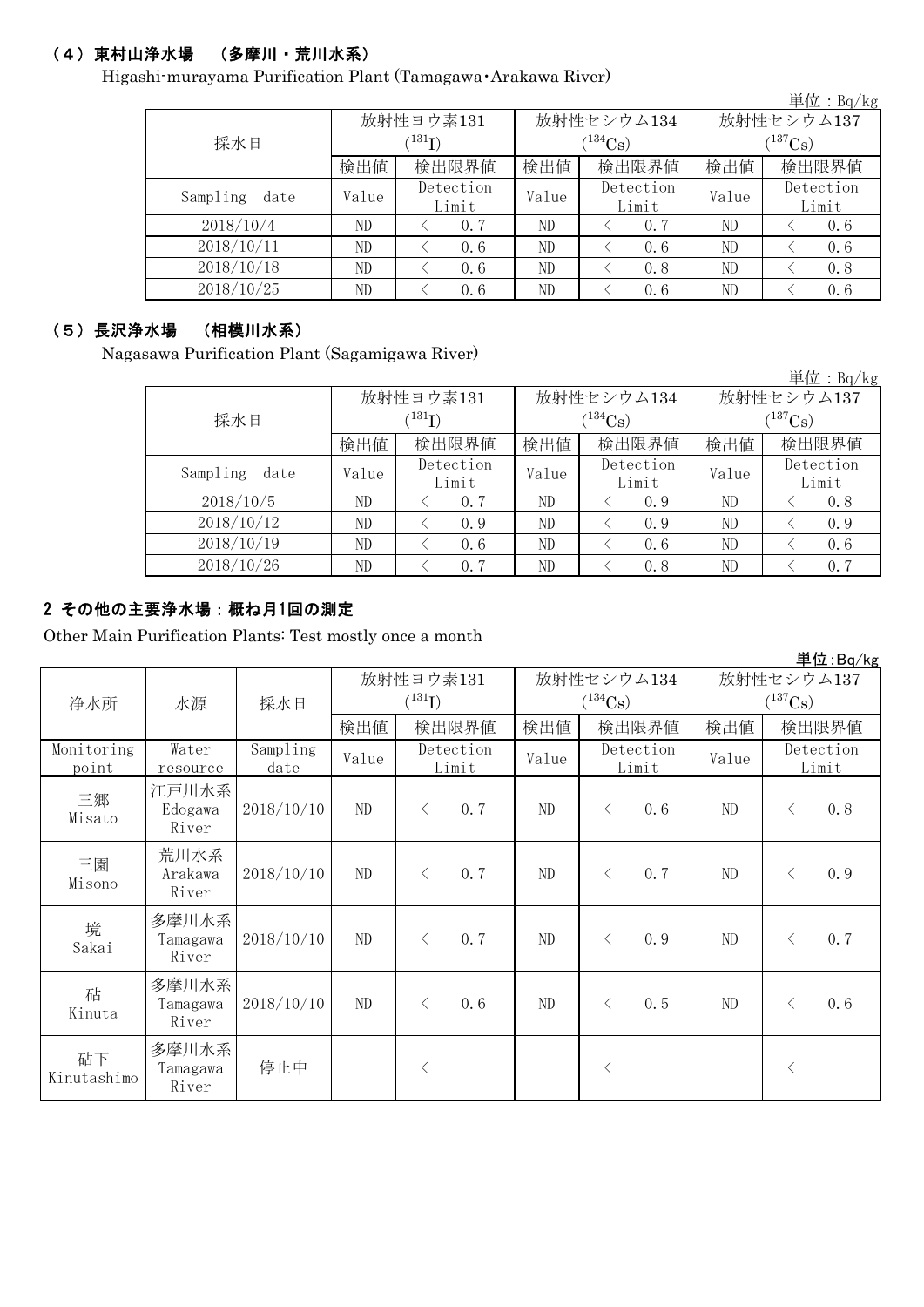## (4)東村山浄水場 (多摩川・荒川水系)

Higashi-murayama Purification Plant (Tamagawa・Arakawa River)

|                  |       |                    |       |                    |                       | 単位: Bq/kg          |  |  |
|------------------|-------|--------------------|-------|--------------------|-----------------------|--------------------|--|--|
|                  |       | 放射性ヨウ素131          |       | 放射性セシウム134         | 放射性セシウム137            |                    |  |  |
| 採水日              |       | $^{(131)}$ I)      |       | $(^{134}Cs)$       | $(^{137}\mathrm{Cs})$ |                    |  |  |
|                  | 検出値   | 検出限界値              | 検出値   | 検出限界値              | 検出値                   | 検出限界値              |  |  |
| Sampling<br>date | Value | Detection<br>Limit | Value | Detection<br>Limit | Value                 | Detection<br>Limit |  |  |
| 2018/10/4        | ND    | 0.7                | ND    | 0, 7               | ND                    | 0, 6               |  |  |
| 2018/10/11       | ND    | 0.6                | ND    | 0.6                | ND                    | 0, 6               |  |  |
| 2018/10/18       | ND    | 0.6                | ND    | 0.8                | ND                    | 0.8                |  |  |
| 2018/10/25       | ND    | 0.6                | ND    | 0.6                | ND                    | 0.6                |  |  |

#### (5)長沢浄水場 (相模川水系)

Nagasawa Purification Plant (Sagamigawa River)

単位:Bq/kg 検出値 | 検出値 | 検出限界値 | 検出値  $V$ alue  $V$ <sup>Detection</sup> Value  $V$ <sup>Detection</sup> Value ND < 0.7 ND < 0.9 ND < 0.8 ND  $\vert$  < 0.9 | ND  $\vert$  < 0.9 | ND  $\vert$  < 0.9 ND  $\vert$   $\langle$  0.6  $\vert$  ND  $\vert$   $\langle$  0.6  $\vert$  ND  $\vert$   $\langle$  0.6 ND  $\vert$   $\langle$  0.7  $\vert$  ND  $\vert$   $\langle$  0.8  $\vert$  ND  $\vert$   $\langle$  0.7 採水日 放射性ヨウ素131  $(^{131}I)$ 検出限界値 2018/10/12 放射性セシウム137  $(137)$ Cs) 放射性セシウム134  $(^{134}Cs)$ 2018/10/5 Detection Limit Detection Limit 検出限界値 2018/10/26 Sampling date 2018/10/19 Detection Limit

## 2 その他の主要浄水場:概ね月1回の測定

Other Main Purification Plants: Test mostly once a month

|                     |                            |                  |           |                                      |                    |                             |           |            |              |                    | 単位:Bq/kg |
|---------------------|----------------------------|------------------|-----------|--------------------------------------|--------------------|-----------------------------|-----------|------------|--------------|--------------------|----------|
|                     |                            |                  | 放射性ヨウ素131 |                                      | 放射性セシウム134         |                             |           | 放射性セシウム137 |              |                    |          |
| 浄水所                 | 水源                         | 採水日              |           | $(^{131}\mathrm{I})$<br>検出限界値<br>検出値 |                    | $(^{134}Cs)$                |           |            | $(^{137}Cs)$ |                    |          |
|                     |                            |                  |           |                                      |                    | 検出値                         | 検出限界値     |            | 検出値          |                    | 検出限界値    |
| Monitoring<br>point | Water<br>resource          | Sampling<br>date | Value     |                                      | Detection<br>Limit | Detection<br>Value<br>Limit |           | Value      |              | Detection<br>Limit |          |
| 三郷<br>Misato        | 江戸川水系<br>Edogawa<br>River  | 2018/10/10       | ND        | $\lt$                                | 0.7                | ND                          | $\langle$ | 0.6        | ND           | $\lt$              | 0.8      |
| 三園<br>Misono        | 荒川水系<br>Arakawa<br>River   | 2018/10/10       | ND        | $\langle$                            | 0.7                | ND                          | $\langle$ | 0.7        | ND           | $\lt$              | 0.9      |
| 境<br>Sakai          | 多摩川水系<br>Tamagawa<br>River | 2018/10/10       | ND        | $\langle$                            | 0.7                | ND                          | $\langle$ | 0.9        | ND           | $\lt$              | 0.7      |
| 砧<br>Kinuta         | 多摩川水系<br>Tamagawa<br>River | 2018/10/10       | ND        | $\langle$                            | 0.6                | ND                          | $\lt$     | 0, 5       | ND           | $\langle$          | 0.6      |
| 砧下<br>Kinutashimo   | 多摩川水系<br>Tamagawa<br>River | 停止中              |           | $\langle$                            |                    |                             | $\lt$     |            |              | $\langle$          |          |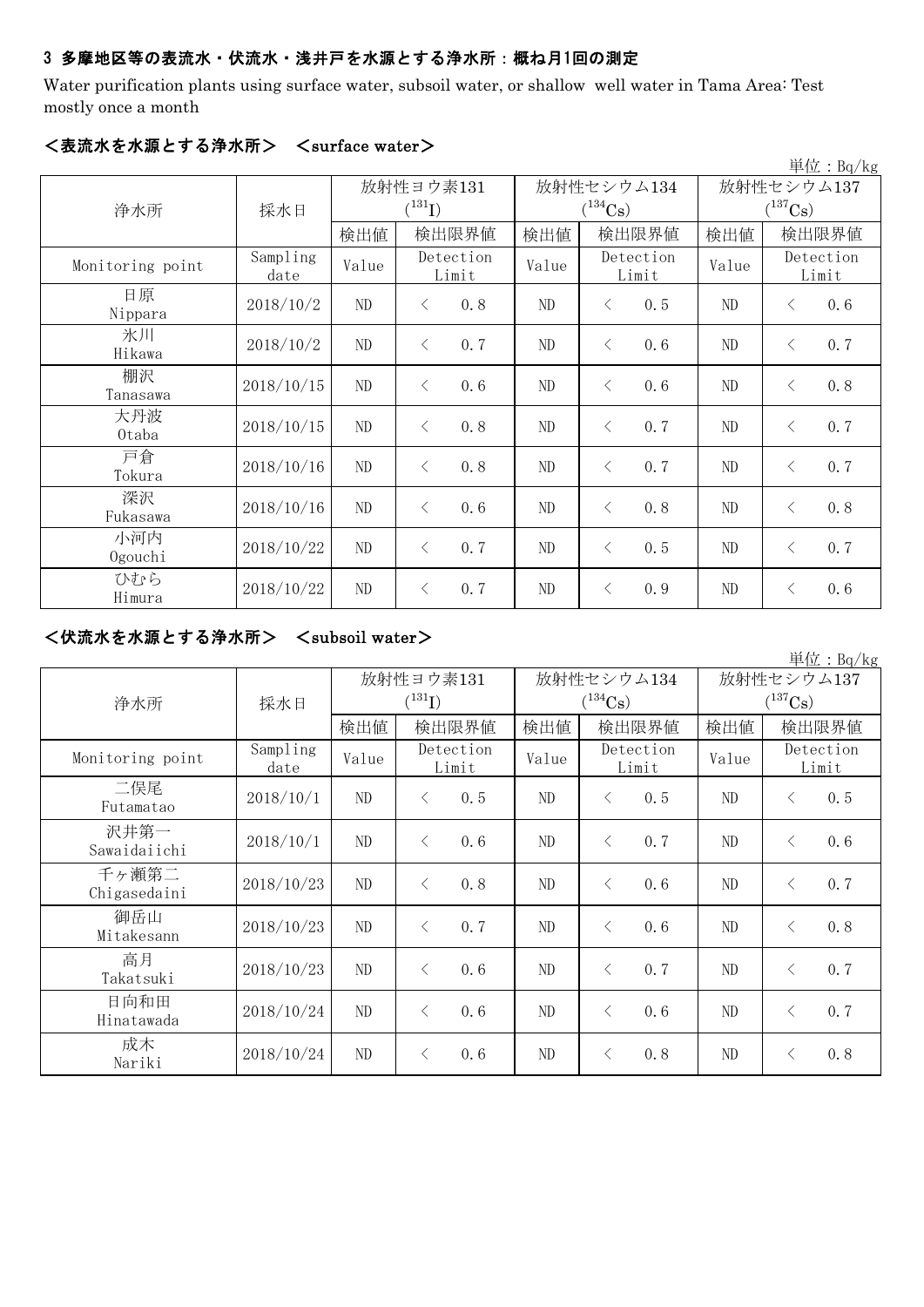#### 3 多摩地区等の表流水・伏流水・浅井戸を水源とする浄水所:概ね月1回の測定

Water purification plants using surface water, subsoil water, or shallow well water in Tama Area: Test mostly once a month

|                  |                  |             |           |                    |          |                    |            |                       |           | 単位: $Bq/kg$        |
|------------------|------------------|-------------|-----------|--------------------|----------|--------------------|------------|-----------------------|-----------|--------------------|
|                  |                  | 放射性ヨウ素131   |           |                    |          |                    | 放射性セシウム134 | 放射性セシウム137            |           |                    |
| 浄水所              | 採水日              | $(^{131}I)$ |           |                    |          | $(^{134}Cs)$       |            | $(^{137}\mathrm{Cs})$ |           |                    |
|                  |                  | 検出値         |           | 検出限界値              | 検出値      | 検出限界値              |            | 検出値                   |           | 検出限界値              |
| Monitoring point | Sampling<br>date | Value       |           | Detection<br>Limit |          | Detection<br>Limit |            | Value                 |           | Detection<br>Limit |
| 日原<br>Nippara    | 2018/10/2        | ND          | $\lt$     | 0.8                | $\rm ND$ | $\langle$          | 0.5        | $\rm ND$              | $\langle$ | 0.6                |
| 氷川<br>Hikawa     | 2018/10/2        | $\rm ND$    | $\langle$ | 0.7                | $\rm ND$ | $\langle$          | 0.6        | $\rm ND$              | $\langle$ | 0.7                |
| 棚沢<br>Tanasawa   | 2018/10/15       | $\rm ND$    | $\lt$     | 0.6                | $\rm ND$ | $\langle$          | 0.6        | $\rm ND$              | $\langle$ | 0.8                |
| 大丹波<br>0taba     | 2018/10/15       | ND          | $\langle$ | 0.8                | $\rm ND$ | $\langle$          | 0.7        | ND                    | $\langle$ | 0.7                |
| 戸倉<br>Tokura     | 2018/10/16       | $\rm ND$    | $\langle$ | 0.8                | ND       | $\lt$              | 0.7        | $\rm ND$              | $\lt$     | 0.7                |
| 深沢<br>Fukasawa   | 2018/10/16       | ND          | $\langle$ | 0.6                | ND       | $\lt$              | 0.8        | ND                    | $\langle$ | 0.8                |
| 小河内<br>Ogouchi   | 2018/10/22       | ND          | $\lt$     | 0.7                | ND       | $\lt$              | 0.5        | ND                    | $\langle$ | 0.7                |
| ひむら<br>Himura    | 2018/10/22       | ND          | $\lt$     | 0.7                | ND       | $\langle$          | 0.9        | ND                    | $\langle$ | 0.6                |

#### <表流水を水源とする浄水所> <surface water>

### <伏流水を水源とする浄水所> <subsoil water>

単位:Bq/kg 検出値 | 検出値 | 検出値 | 検出限界値 | 検出値 Sampling mpiing Value Detection Value Detection Value  $2018/10/1$  ND < 0.5 ND < 0.5 ND < 0.5  $2018/10/1$  ND < 0.6 ND < 0.7 ND < 0.6  $2018/10/23$  ND  $\leq$  0.8 ND  $\leq$  0.6 ND  $\leq$  0.7 2018/10/23 ND  $\left\{ \begin{array}{ccc} 2 & 0.7 & \text{N} \\ 0.7 & \text{N} \end{array} \right\}$   $\left\{ \begin{array}{ccc} 0.6 & \text{N} \\ \text{N} \end{array} \right\}$   $\left\{ \begin{array}{ccc} 0.8 & \text{N} \\ \text{N} \end{array} \right\}$  $2018/10/23$  ND  $\leq 0.6$  ND  $\leq 0.7$  ND  $\leq 0.7$  $2018/10/24$  ND < 0.6 ND < 0.6 ND < 0.7  $2018/10/24$  ND < 0.6 ND < 0.8 ND < 0.8 放射性セシウム137  $(^{137}Cs)$ 放射性セシウム134  $(^{134}Cs)$ Detection Limit 検出限界値 |検出値| 検出限界値 Monitoring point Sampling Value Detection Limit Detection Limit 浄水所 | 採水日 沢井第一 Sawaidaiichi 千ヶ瀬第二 Chigasedaini 御岳山 Mitakesann 高月 Takatsuki 日向和田 Hinatawada 二俣尾 Futamatao 成木 Nariki 放射性ヨウ素131  $(^{131}I)$